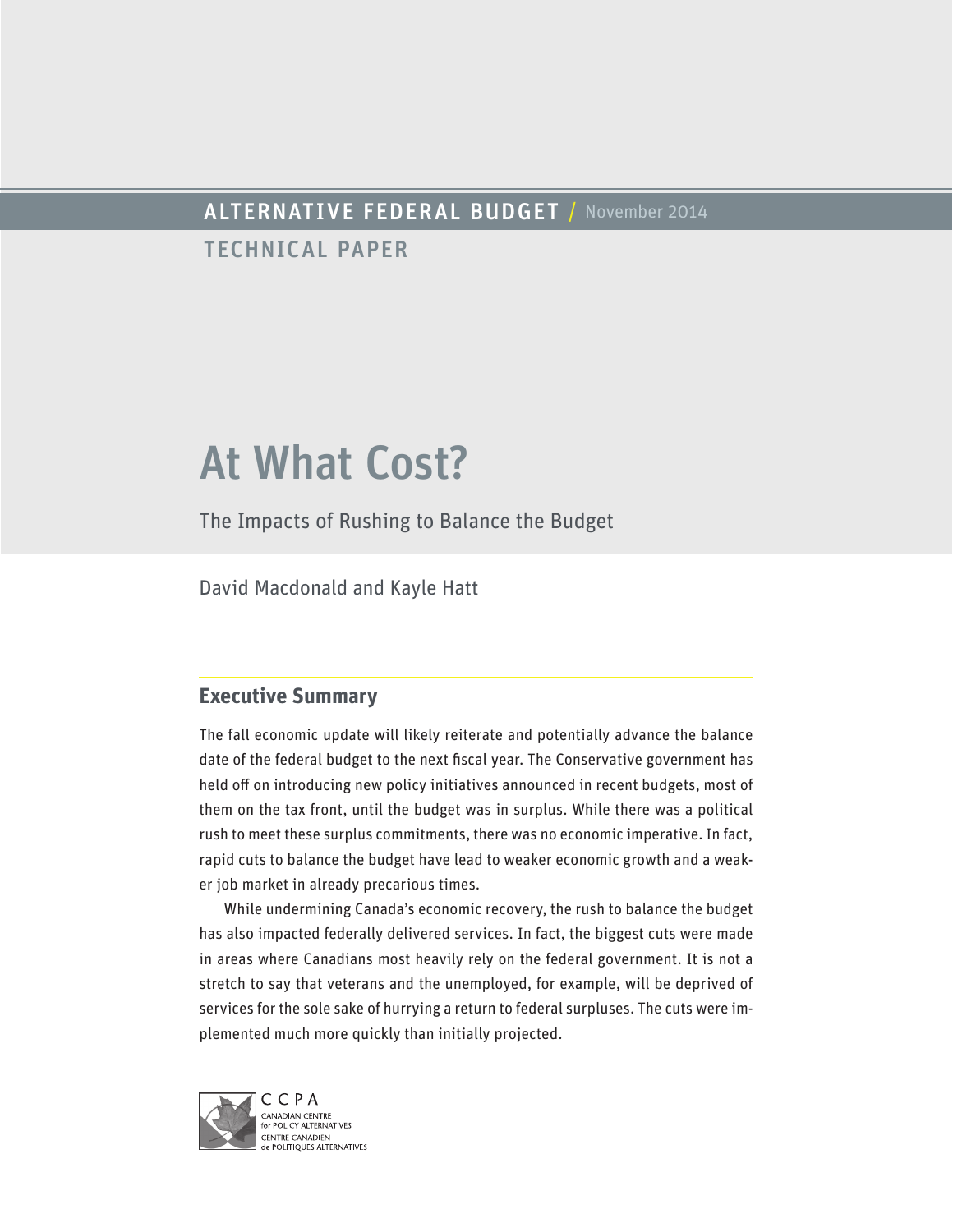# ALTERNATIVE FEDERAL BUDGET / November 2014

TECHNICAL PAPER

# At What Cost?

The Impacts of Rushing to Balance the Budget

David Macdonald and Kayle Hatt

# **Executive Summary**

The fall economic update will likely reiterate and potentially advance the balance date of the federal budget to the next fiscal year. The Conservative government has held off on introducing new policy initiatives announced in recent budgets, most of them on the tax front, until the budget was in surplus. While there was a political rush to meet these surplus commitments, there was no economic imperative. In fact, rapid cuts to balance the budget have lead to weaker economic growth and a weaker job market in already precarious times.

While undermining Canada's economic recovery, the rush to balance the budget has also impacted federally delivered services. In fact, the biggest cuts were made in areas where Canadians most heavily rely on the federal government. It is not a stretch to say that veterans and the unemployed, for example, will be deprived of services for the sole sake of hurrying a return to federal surpluses. The cuts were implemented much more quickly than initially projected.

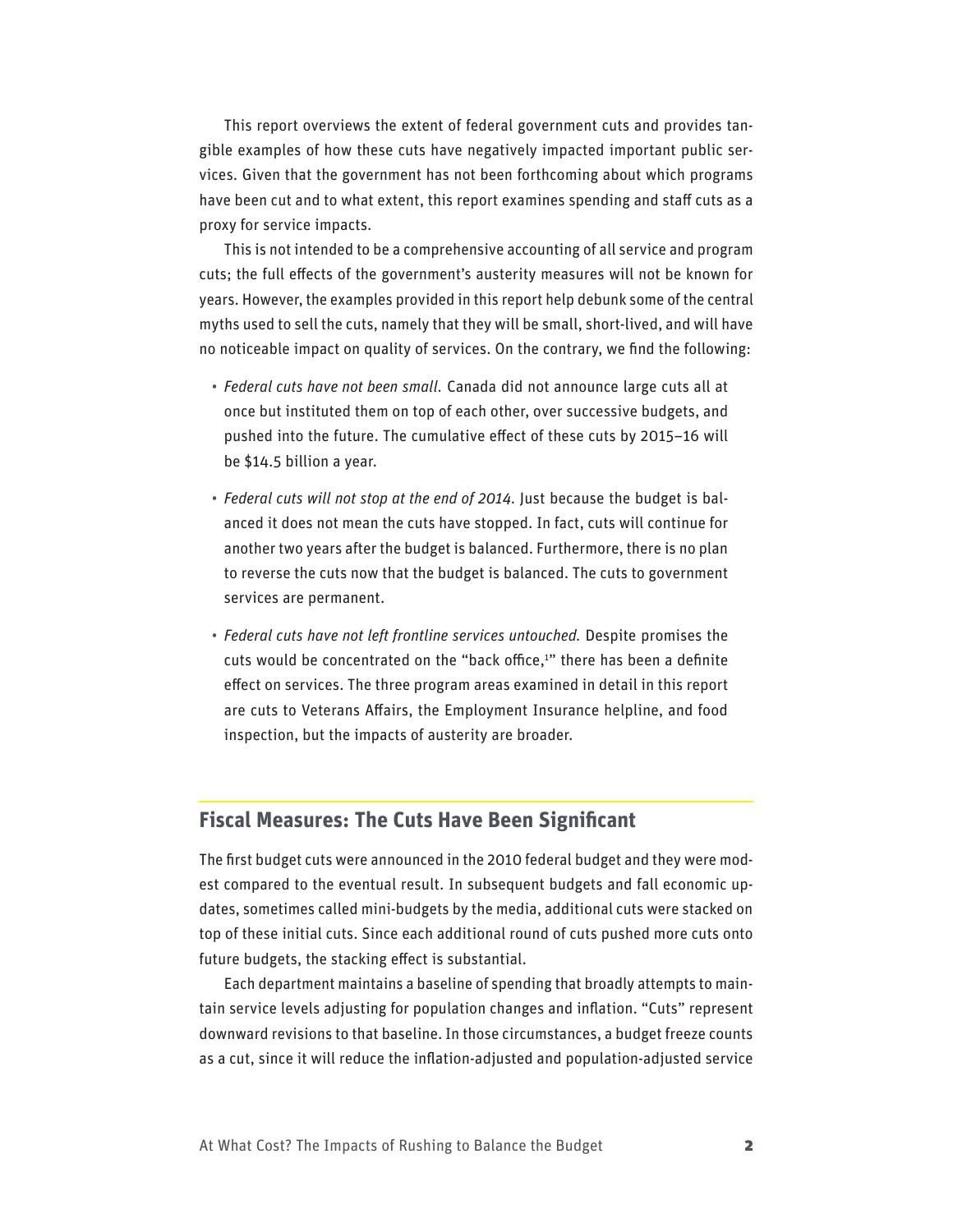This report overviews the extent of federal government cuts and provides tangible examples of how these cuts have negatively impacted important public services. Given that the government has not been forthcoming about which programs have been cut and to what extent, this report examines spending and staff cuts as a proxy for service impacts.

This is not intended to be a comprehensive accounting of all service and program cuts; the full effects of the government's austerity measures will not be known for years. However, the examples provided in this report help debunk some of the central myths used to sell the cuts, namely that they will be small, short-lived, and will have no noticeable impact on quality of services. On the contrary, we find the following:

- *Federal cuts have not been small.* Canada did not announce large cuts all at once but instituted them on top of each other, over successive budgets, and pushed into the future. The cumulative effect of these cuts by 2015–16 will be \$14.5 billion a year.
- *Federal cuts will not stop at the end of 2014*. Just because the budget is balanced it does not mean the cuts have stopped. In fact, cuts will continue for another two years after the budget is balanced. Furthermore, there is no plan to reverse the cuts now that the budget is balanced. The cuts to government services are permanent.
- *Federal cuts have not left frontline services untouched.* Despite promises the cuts would be concentrated on the "back office,<sup>1</sup>" there has been a definite effect on services. The three program areas examined in detail in this report are cuts to Veterans Affairs, the Employment Insurance helpline, and food inspection, but the impacts of austerity are broader.

#### **Fiscal Measures: The Cuts Have Been Significant**

The first budget cuts were announced in the 2010 federal budget and they were modest compared to the eventual result. In subsequent budgets and fall economic updates, sometimes called mini-budgets by the media, additional cuts were stacked on top of these initial cuts. Since each additional round of cuts pushed more cuts onto future budgets, the stacking effect is substantial.

Each department maintains a baseline of spending that broadly attempts to maintain service levels adjusting for population changes and inflation. "Cuts" represent downward revisions to that baseline. In those circumstances, a budget freeze counts as a cut, since it will reduce the inflation-adjusted and population-adjusted service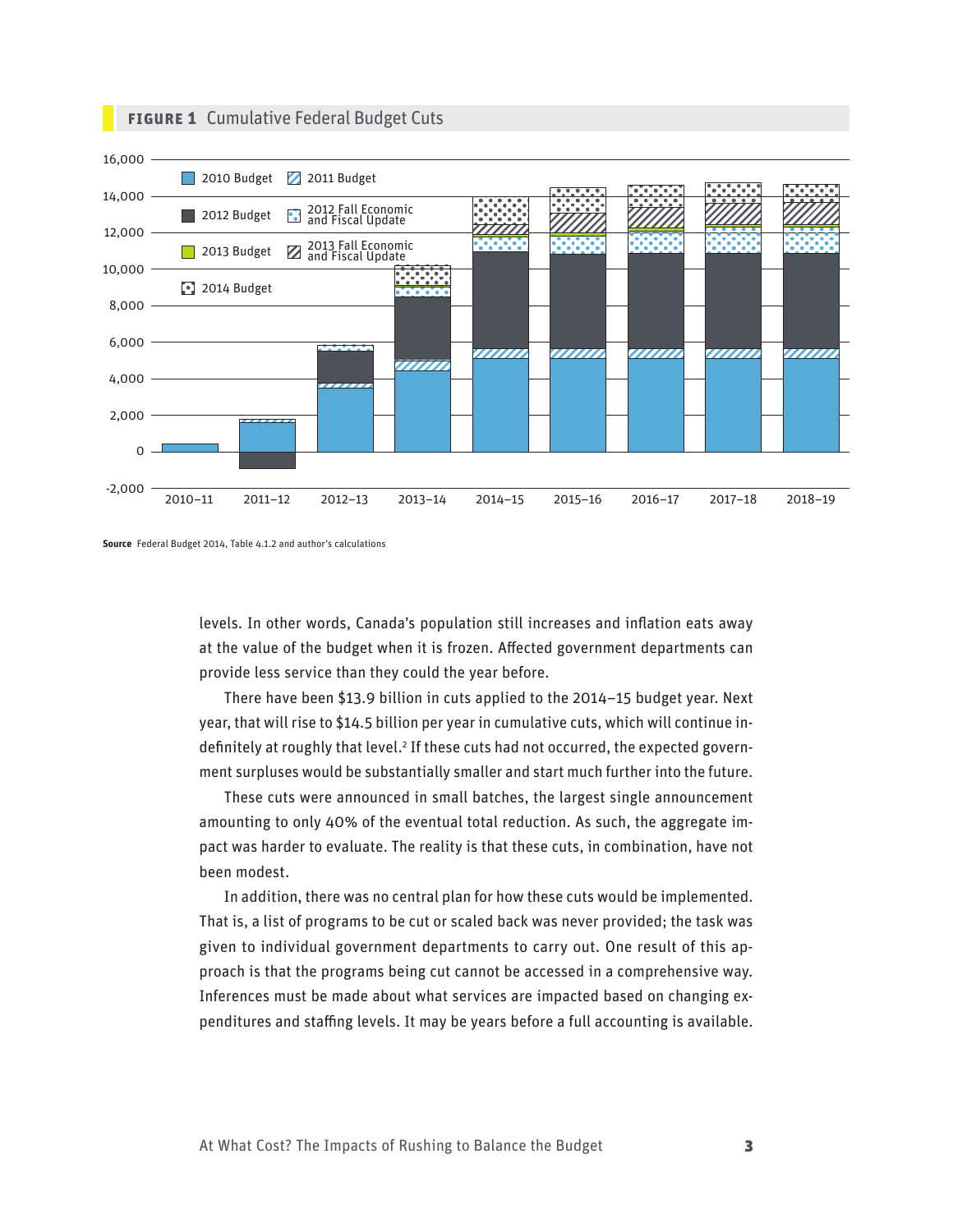

#### **FIGURE 1** Cumulative Federal Budget Cuts



levels. In other words, Canada's population still increases and inflation eats away at the value of the budget when it is frozen. Affected government departments can provide less service than they could the year before.

There have been \$13.9 billion in cuts applied to the 2014–15 budget year. Next year, that will rise to \$14.5 billion per year in cumulative cuts, which will continue indefinitely at roughly that level.<sup>2</sup> If these cuts had not occurred, the expected government surpluses would be substantially smaller and start much further into the future.

These cuts were announced in small batches, the largest single announcement amounting to only 40% of the eventual total reduction. As such, the aggregate impact was harder to evaluate. The reality is that these cuts, in combination, have not been modest.

In addition, there was no central plan for how these cuts would be implemented. That is, a list of programs to be cut or scaled back was never provided; the task was given to individual government departments to carry out. One result of this approach is that the programs being cut cannot be accessed in a comprehensive way. Inferences must be made about what services are impacted based on changing expenditures and staffing levels. It may be years before a full accounting is available.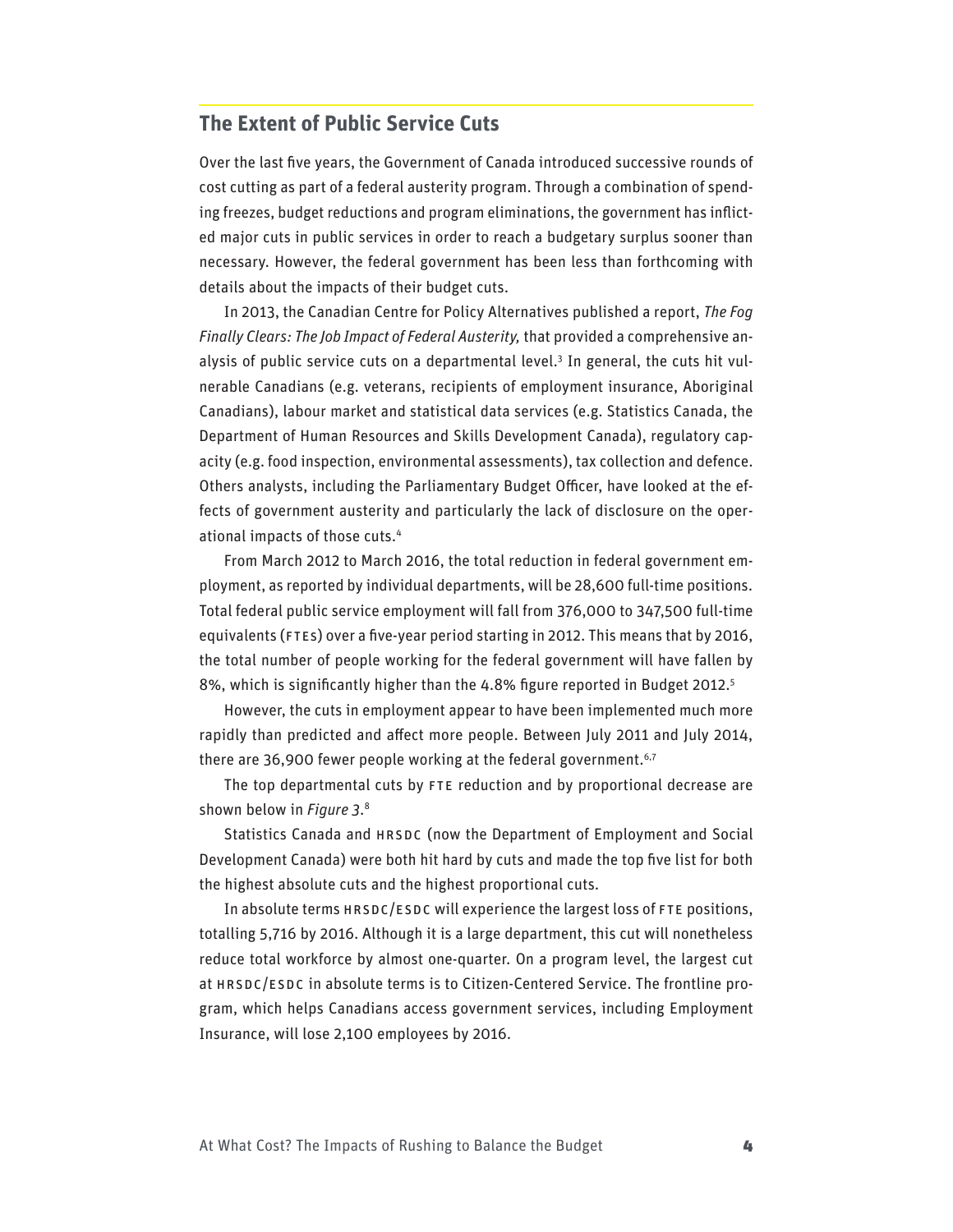# **The Extent of Public Service Cuts**

Over the last five years, the Government of Canada introduced successive rounds of cost cutting as part of a federal austerity program. Through a combination of spending freezes, budget reductions and program eliminations, the government has inflicted major cuts in public services in order to reach a budgetary surplus sooner than necessary. However, the federal government has been less than forthcoming with details about the impacts of their budget cuts.

In 2013, the Canadian Centre for Policy Alternatives published a report, *The Fog Finally Clears: The Job Impact of Federal Austerity,* that provided a comprehensive analysis of public service cuts on a departmental level.<sup>3</sup> In general, the cuts hit vulnerable Canadians (e.g. veterans, recipients of employment insurance, Aboriginal Canadians), labour market and statistical data services (e.g. Statistics Canada, the Department of Human Resources and Skills Development Canada), regulatory capacity (e.g. food inspection, environmental assessments), tax collection and defence. Others analysts, including the Parliamentary Budget Officer, have looked at the effects of government austerity and particularly the lack of disclosure on the operational impacts of those cuts.4

From March 2012 to March 2016, the total reduction in federal government employment, as reported by individual departments, will be 28,600 full-time positions. Total federal public service employment will fall from 376,000 to 347,500 full-time equivalents (FTEs) over a five-year period starting in 2012. This means that by 2016, the total number of people working for the federal government will have fallen by 8%, which is significantly higher than the 4.8% figure reported in Budget 2012.<sup>5</sup>

However, the cuts in employment appear to have been implemented much more rapidly than predicted and affect more people. Between July 2011 and July 2014, there are 36,900 fewer people working at the federal government.<sup>6,7</sup>

The top departmental cuts by FTE reduction and by proportional decrease are shown below in *Figure 3*. 8

Statistics Canada and HRSDC (now the Department of Employment and Social Development Canada) were both hit hard by cuts and made the top five list for both the highest absolute cuts and the highest proportional cuts.

In absolute terms HRSDC/ESDC will experience the largest loss of FTE positions, totalling 5,716 by 2016. Although it is a large department, this cut will nonetheless reduce total workforce by almost one-quarter. On a program level, the largest cut at HRSDC/ESDC in absolute terms is to Citizen-Centered Service. The frontline program, which helps Canadians access government services, including Employment Insurance, will lose 2,100 employees by 2016.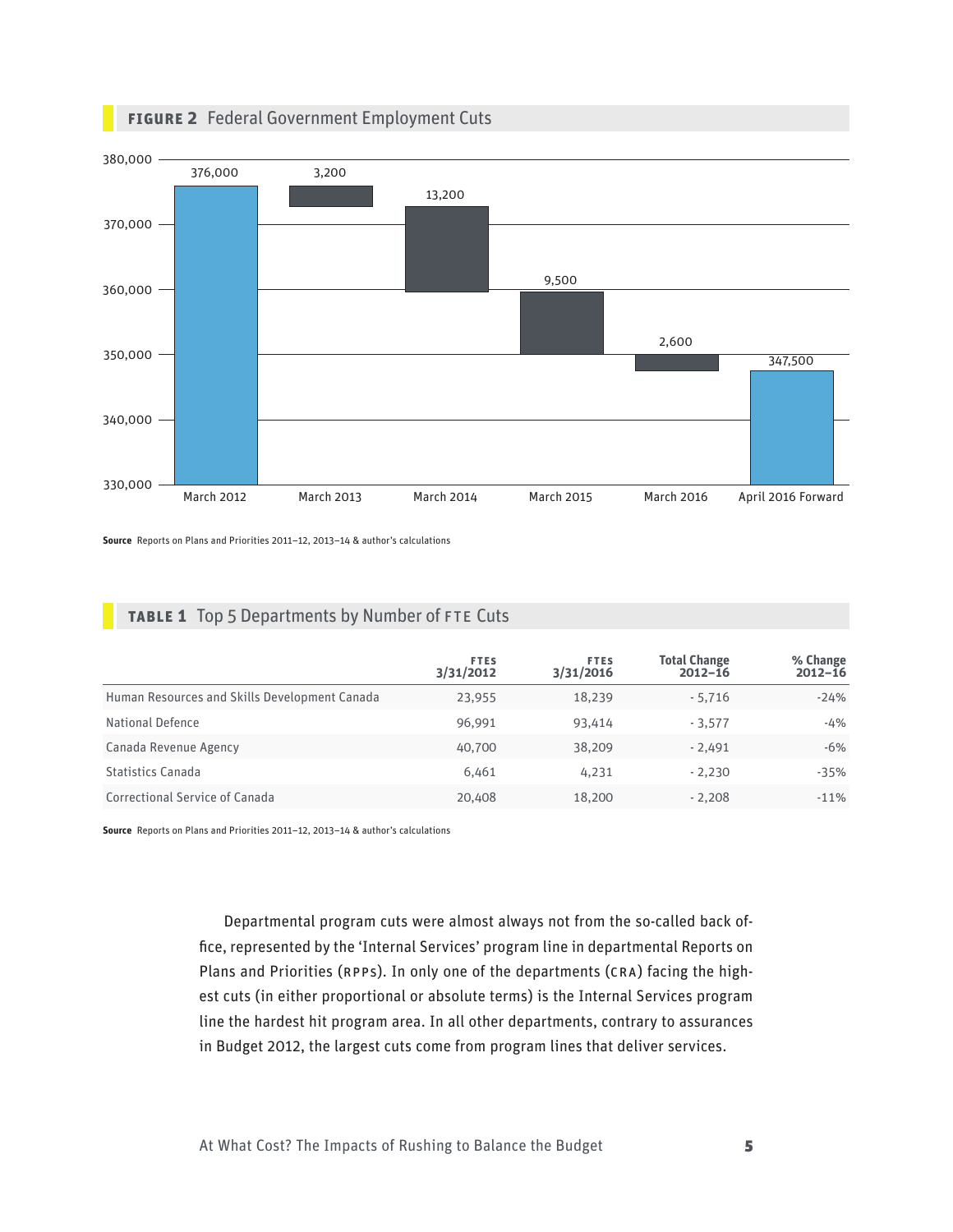

**Figure 2** Federal Government Employment Cuts

**Source** Reports on Plans and Priorities 2011–12, 2013–14 & author's calculations

|  |  | <b>TABLE 1</b> Top 5 Departments by Number of FTE Cuts |  |  |  |  |
|--|--|--------------------------------------------------------|--|--|--|--|
|--|--|--------------------------------------------------------|--|--|--|--|

|                                               | <b>FTES</b><br>3/31/2012 | <b>FTES</b><br>3/31/2016 | <b>Total Change</b><br>$2012 - 16$ | % Change<br>$2012 - 16$ |
|-----------------------------------------------|--------------------------|--------------------------|------------------------------------|-------------------------|
| Human Resources and Skills Development Canada | 23,955                   | 18,239                   | $-5,716$                           | $-24%$                  |
| National Defence                              | 96.991                   | 93.414                   | $-3.577$                           | $-4%$                   |
| Canada Revenue Agency                         | 40,700                   | 38,209                   | $-2.491$                           | $-6%$                   |
| <b>Statistics Canada</b>                      | 6.461                    | 4,231                    | $-2.230$                           | $-35%$                  |
| Correctional Service of Canada                | 20,408                   | 18,200                   | $-2.208$                           | $-11%$                  |

**Source** Reports on Plans and Priorities 2011–12, 2013–14 & author's calculations

Departmental program cuts were almost always not from the so-called back office, represented by the 'Internal Services' program line in departmental Reports on Plans and Priorities (RPPs). In only one of the departments (CRA) facing the highest cuts (in either proportional or absolute terms) is the Internal Services program line the hardest hit program area. In all other departments, contrary to assurances in Budget 2012, the largest cuts come from program lines that deliver services.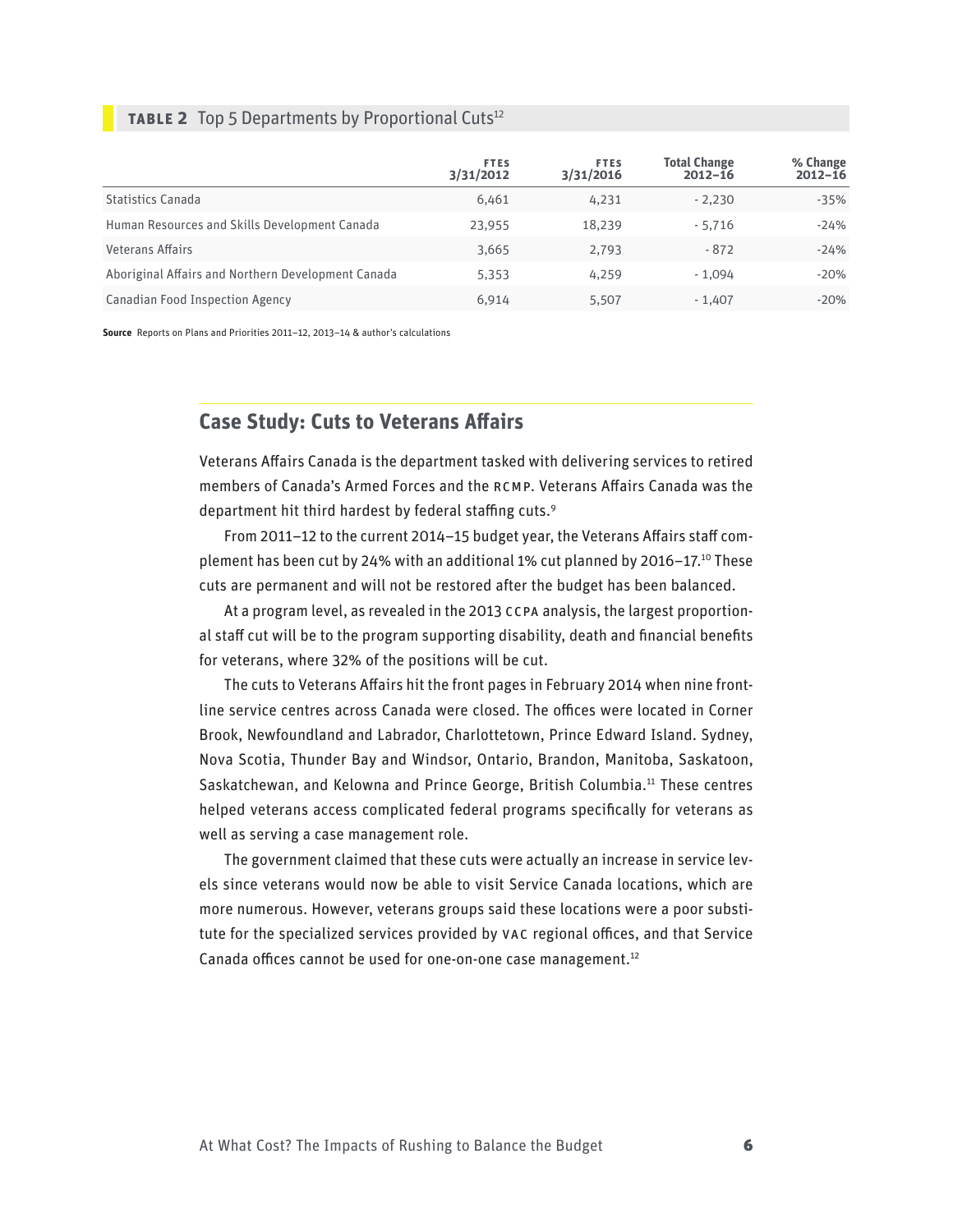#### **TABLE 2** Top 5 Departments by Proportional Cuts<sup>12</sup>

|                                                    | <b>FTES</b><br>3/31/2012 | <b>FTES</b><br>3/31/2016 | <b>Total Change</b><br>$2012 - 16$ | % Change<br>$2012 - 16$ |
|----------------------------------------------------|--------------------------|--------------------------|------------------------------------|-------------------------|
| <b>Statistics Canada</b>                           | 6,461                    | 4,231                    | $-2.230$                           | $-35%$                  |
| Human Resources and Skills Development Canada      | 23,955                   | 18.239                   | $-5.716$                           | $-24%$                  |
| <b>Veterans Affairs</b>                            | 3,665                    | 2.793                    | $-872$                             | $-24%$                  |
| Aboriginal Affairs and Northern Development Canada | 5,353                    | 4,259                    | $-1.094$                           | $-20%$                  |
| <b>Canadian Food Inspection Agency</b>             | 6,914                    | 5.507                    | $-1.407$                           | $-20%$                  |

**Source** Reports on Plans and Priorities 2011–12, 2013–14 & author's calculations

# **Case Study: Cuts to Veterans Affairs**

Veterans Affairs Canada is the department tasked with delivering services to retired members of Canada's Armed Forces and the RCMP. Veterans Affairs Canada was the department hit third hardest by federal staffing cuts.9

From 2011–12 to the current 2014–15 budget year, the Veterans Affairs staff complement has been cut by 24% with an additional 1% cut planned by 2016–17.10 These cuts are permanent and will not be restored after the budget has been balanced.

At a program level, as revealed in the 2013 CCPA analysis, the largest proportional staff cut will be to the program supporting disability, death and financial benefits for veterans, where 32% of the positions will be cut.

The cuts to Veterans Affairs hit the front pages in February 2014 when nine frontline service centres across Canada were closed. The offices were located in Corner Brook, Newfoundland and Labrador, Charlottetown, Prince Edward Island. Sydney, Nova Scotia, Thunder Bay and Windsor, Ontario, Brandon, Manitoba, Saskatoon, Saskatchewan, and Kelowna and Prince George, British Columbia.<sup>11</sup> These centres helped veterans access complicated federal programs specifically for veterans as well as serving a case management role.

The government claimed that these cuts were actually an increase in service levels since veterans would now be able to visit Service Canada locations, which are more numerous. However, veterans groups said these locations were a poor substitute for the specialized services provided by VAC regional offices, and that Service Canada offices cannot be used for one-on-one case management.<sup>12</sup>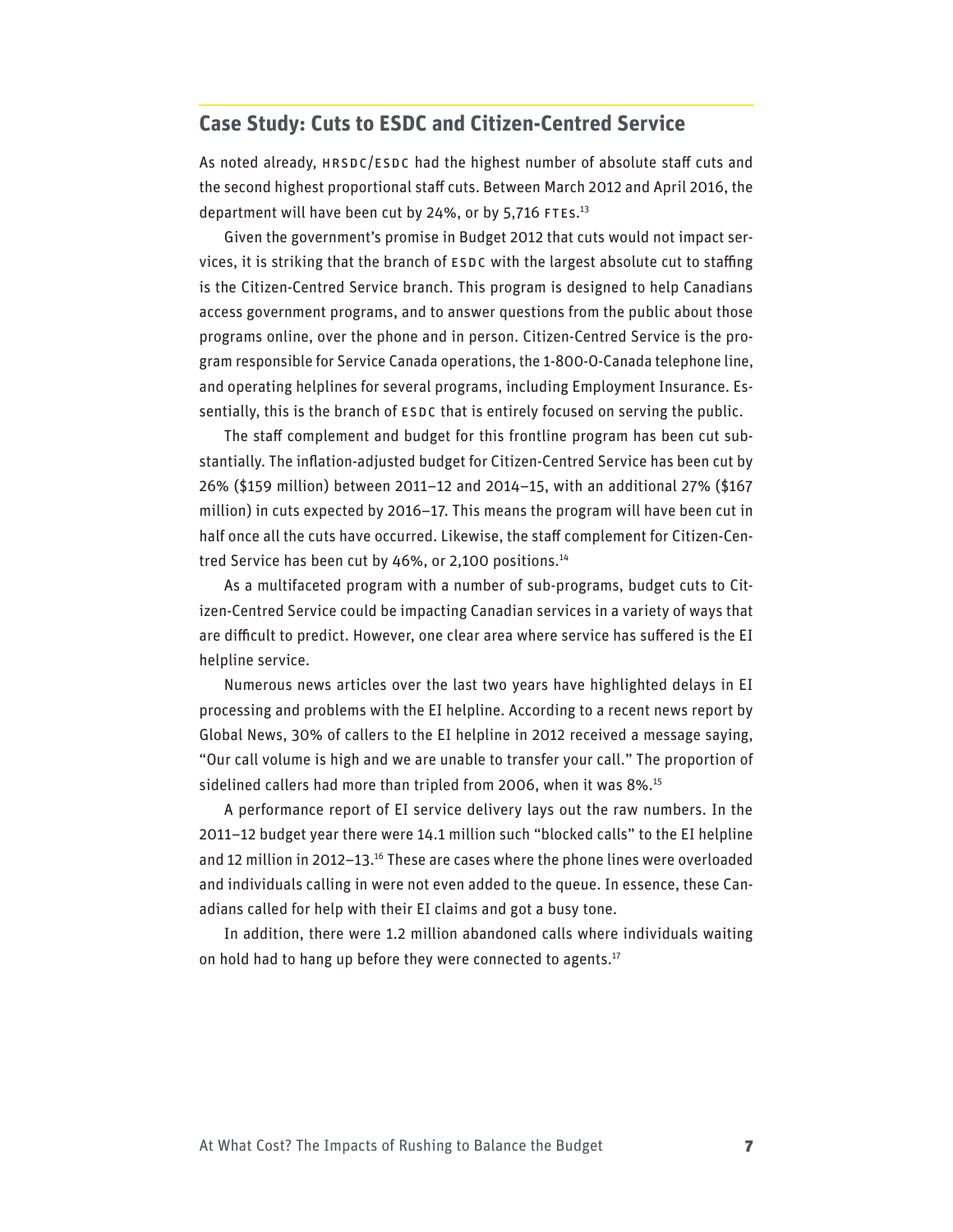# **Case Study: Cuts to ESDC and Citizen-Centred Service**

As noted already, HRSDC/ESDC had the highest number of absolute staff cuts and the second highest proportional staff cuts. Between March 2012 and April 2016, the department will have been cut by 24%, or by 5,716 FTEs.<sup>13</sup>

Given the government's promise in Budget 2012 that cuts would not impact services, it is striking that the branch of ESDC with the largest absolute cut to staffing is the Citizen-Centred Service branch. This program is designed to help Canadians access government programs, and to answer questions from the public about those programs online, over the phone and in person. Citizen-Centred Service is the program responsible for Service Canada operations, the 1-800-O-Canada telephone line, and operating helplines for several programs, including Employment Insurance. Essentially, this is the branch of ESDC that is entirely focused on serving the public.

The staff complement and budget for this frontline program has been cut substantially. The inflation-adjusted budget for Citizen-Centred Service has been cut by 26% (\$159 million) between 2011–12 and 2014–15, with an additional 27% (\$167 million) in cuts expected by 2016–17. This means the program will have been cut in half once all the cuts have occurred. Likewise, the staff complement for Citizen-Centred Service has been cut by 46%, or 2,100 positions.<sup>14</sup>

As a multifaceted program with a number of sub-programs, budget cuts to Citizen-Centred Service could be impacting Canadian services in a variety of ways that are difficult to predict. However, one clear area where service has suffered is the EI helpline service.

Numerous news articles over the last two years have highlighted delays in EI processing and problems with the EI helpline. According to a recent news report by Global News, 30% of callers to the EI helpline in 2012 received a message saying, "Our call volume is high and we are unable to transfer your call." The proportion of sidelined callers had more than tripled from 2006, when it was 8%.<sup>15</sup>

A performance report of EI service delivery lays out the raw numbers. In the 2011–12 budget year there were 14.1 million such "blocked calls" to the EI helpline and 12 million in 2012–13.<sup>16</sup> These are cases where the phone lines were overloaded and individuals calling in were not even added to the queue. In essence, these Canadians called for help with their EI claims and got a busy tone.

In addition, there were 1.2 million abandoned calls where individuals waiting on hold had to hang up before they were connected to agents.<sup>17</sup>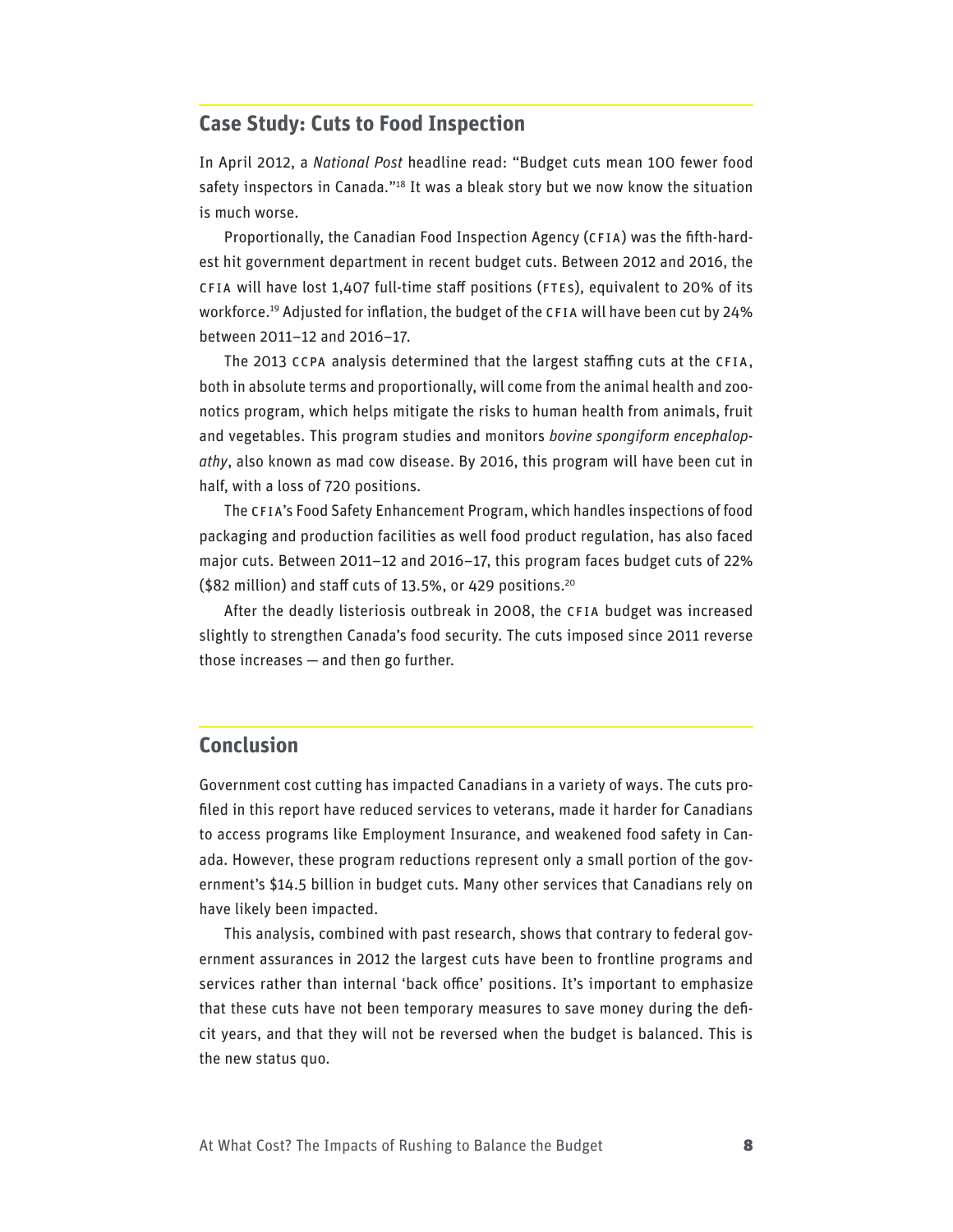# **Case Study: Cuts to Food Inspection**

In April 2012, a *National Post* headline read: "Budget cuts mean 100 fewer food safety inspectors in Canada."<sup>18</sup> It was a bleak story but we now know the situation is much worse.

Proportionally, the Canadian Food Inspection Agency (CFIA) was the fifth-hardest hit government department in recent budget cuts. Between 2012 and 2016, the CFIA will have lost 1,407 full-time staff positions (FTEs), equivalent to 20% of its workforce.19 Adjusted for inflation, the budget of the CFIA will have been cut by 24% between 2011–12 and 2016–17.

The 2013 CCPA analysis determined that the largest staffing cuts at the CFIA, both in absolute terms and proportionally, will come from the animal health and zoonotics program, which helps mitigate the risks to human health from animals, fruit and vegetables. This program studies and monitors *bovine spongiform encephalopathy*, also known as mad cow disease. By 2016, this program will have been cut in half, with a loss of 720 positions.

The CFIA's Food Safety Enhancement Program, which handles inspections of food packaging and production facilities as well food product regulation, has also faced major cuts. Between 2011–12 and 2016–17, this program faces budget cuts of 22% (\$82 million) and staff cuts of 13.5%, or 429 positions.20

After the deadly listeriosis outbreak in 2008, the CFIA budget was increased slightly to strengthen Canada's food security. The cuts imposed since 2011 reverse those increases — and then go further.

### **Conclusion**

Government cost cutting has impacted Canadians in a variety of ways. The cuts profiled in this report have reduced services to veterans, made it harder for Canadians to access programs like Employment Insurance, and weakened food safety in Canada. However, these program reductions represent only a small portion of the government's \$14.5 billion in budget cuts. Many other services that Canadians rely on have likely been impacted.

This analysis, combined with past research, shows that contrary to federal government assurances in 2012 the largest cuts have been to frontline programs and services rather than internal 'back office' positions. It's important to emphasize that these cuts have not been temporary measures to save money during the deficit years, and that they will not be reversed when the budget is balanced. This is the new status quo.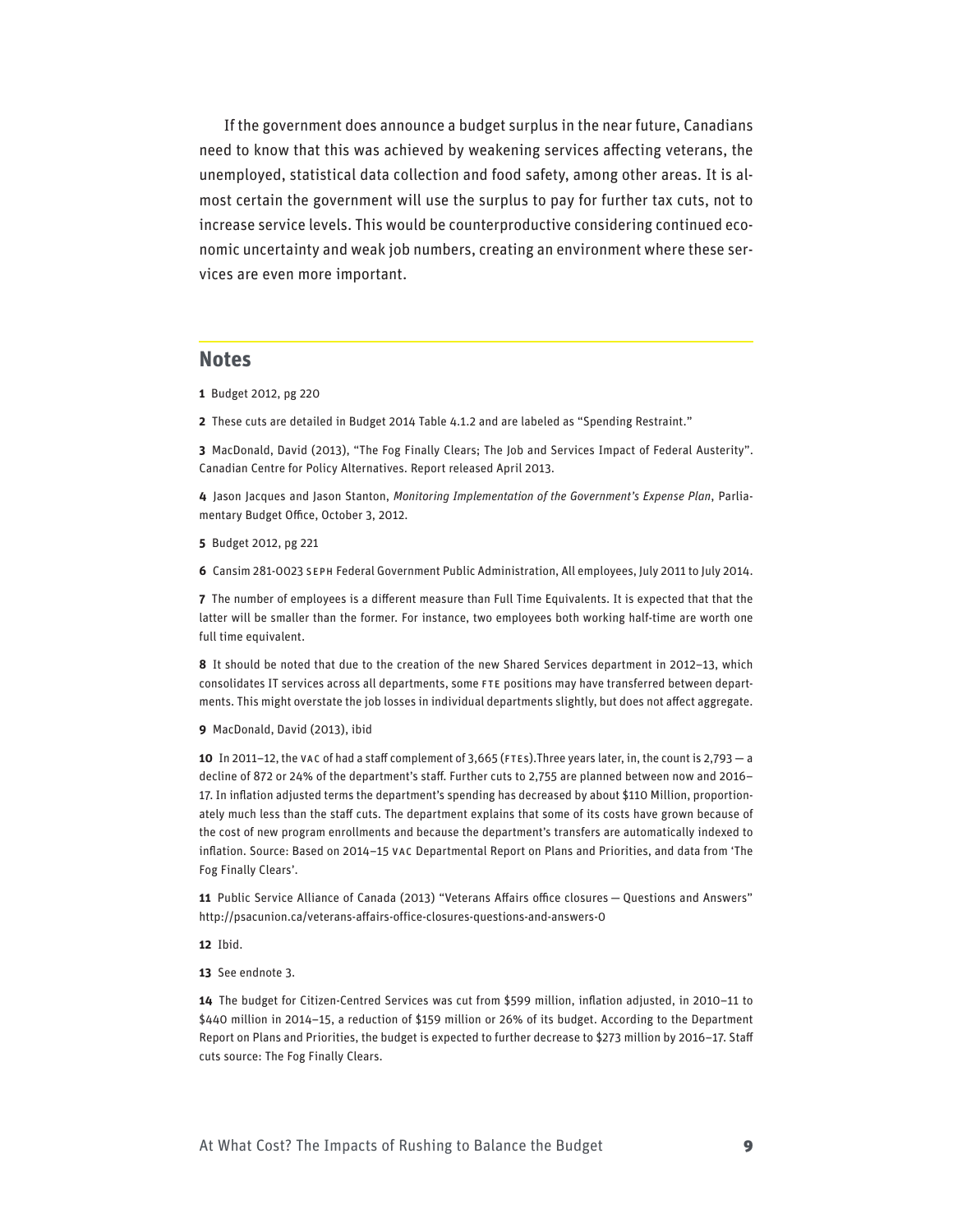If the government does announce a budget surplus in the near future, Canadians need to know that this was achieved by weakening services affecting veterans, the unemployed, statistical data collection and food safety, among other areas. It is almost certain the government will use the surplus to pay for further tax cuts, not to increase service levels. This would be counterproductive considering continued economic uncertainty and weak job numbers, creating an environment where these services are even more important.

#### **Notes**

- **1** Budget 2012, pg 220
- **2** These cuts are detailed in Budget 2014 Table 4.1.2 and are labeled as "Spending Restraint."

**3** MacDonald, David (2013), "The Fog Finally Clears; The Job and Services Impact of Federal Austerity". Canadian Centre for Policy Alternatives. Report released April 2013.

**4** Jason Jacques and Jason Stanton, *Monitoring Implementation of the Government's Expense Plan*, Parliamentary Budget Office, October 3, 2012.

**5** Budget 2012, pg 221

**6** Cansim 281-0023 SEPH Federal Government Public Administration, All employees, July 2011 to July 2014.

**7** The number of employees is a different measure than Full Time Equivalents. It is expected that that the latter will be smaller than the former. For instance, two employees both working half-time are worth one full time equivalent.

**8** It should be noted that due to the creation of the new Shared Services department in 2012–13, which consolidates IT services across all departments, some FTE positions may have transferred between departments. This might overstate the job losses in individual departments slightly, but does not affect aggregate.

#### **9** MacDonald, David (2013), ibid

**10** In 2011–12, the VAC of had a staff complement of 3,665 (FTEs).Three years later, in, the count is 2,793 — a decline of 872 or 24% of the department's staff. Further cuts to 2,755 are planned between now and 2016– 17. In inflation adjusted terms the department's spending has decreased by about \$110 Million, proportionately much less than the staff cuts. The department explains that some of its costs have grown because of the cost of new program enrollments and because the department's transfers are automatically indexed to inflation. Source: Based on 2014–15 VAC Departmental Report on Plans and Priorities, and data from 'The Fog Finally Clears'.

**11** Public Service Alliance of Canada (2013) "Veterans Affairs office closures — Questions and Answers" http://psacunion.ca/veterans-affairs-office-closures-questions-and-answers-0

**12** Ibid.

**13** See endnote 3.

**14** The budget for Citizen-Centred Services was cut from \$599 million, inflation adjusted, in 2010–11 to \$440 million in 2014–15, a reduction of \$159 million or 26% of its budget. According to the Department Report on Plans and Priorities, the budget is expected to further decrease to \$273 million by 2016–17. Staff cuts source: The Fog Finally Clears.